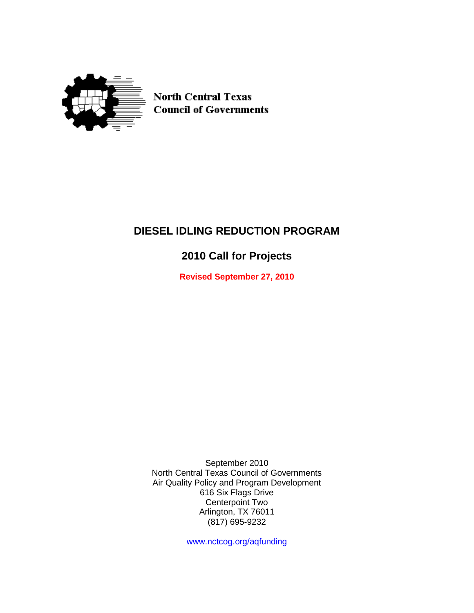

**North Central Texas Council of Governments** 

# **DIESEL IDLING REDUCTION PROGRAM**

# **2010 Call for Projects**

**Revised September 27, 2010**

September 2010 North Central Texas Council of Governments Air Quality Policy and Program Development 616 Six Flags Drive Centerpoint Two Arlington, TX 76011 (817) 695-9232

www.nctcog.org/aqfunding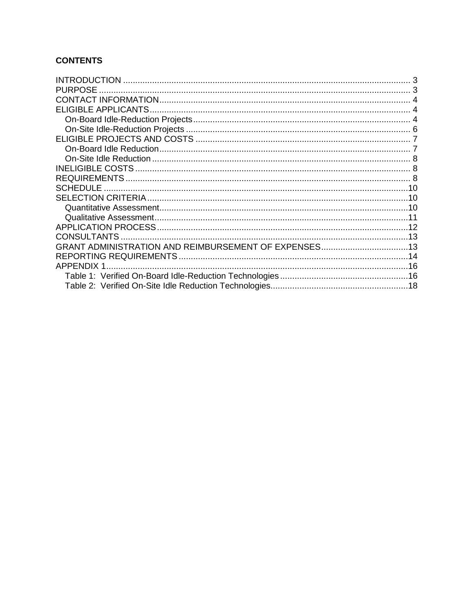# **CONTENTS**

| <b>PURPOSE</b>    |  |
|-------------------|--|
|                   |  |
|                   |  |
|                   |  |
|                   |  |
|                   |  |
|                   |  |
|                   |  |
|                   |  |
|                   |  |
|                   |  |
|                   |  |
|                   |  |
|                   |  |
|                   |  |
|                   |  |
|                   |  |
|                   |  |
| <b>APPENDIX 1</b> |  |
|                   |  |
|                   |  |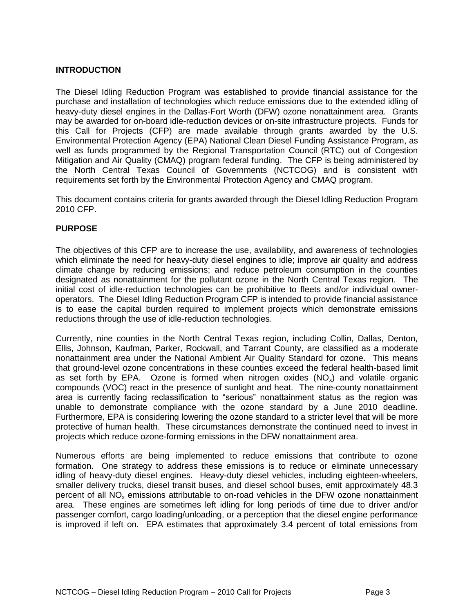# <span id="page-2-0"></span>**INTRODUCTION**

The Diesel Idling Reduction Program was established to provide financial assistance for the purchase and installation of technologies which reduce emissions due to the extended idling of heavy-duty diesel engines in the Dallas-Fort Worth (DFW) ozone nonattainment area. Grants may be awarded for on-board idle-reduction devices or on-site infrastructure projects. Funds for this Call for Projects (CFP) are made available through grants awarded by the U.S. Environmental Protection Agency (EPA) National Clean Diesel Funding Assistance Program, as well as funds programmed by the Regional Transportation Council (RTC) out of Congestion Mitigation and Air Quality (CMAQ) program federal funding. The CFP is being administered by the North Central Texas Council of Governments (NCTCOG) and is consistent with requirements set forth by the Environmental Protection Agency and CMAQ program.

This document contains criteria for grants awarded through the Diesel Idling Reduction Program 2010 CFP.

#### <span id="page-2-1"></span>**PURPOSE**

The objectives of this CFP are to increase the use, availability, and awareness of technologies which eliminate the need for heavy-duty diesel engines to idle; improve air quality and address climate change by reducing emissions; and reduce petroleum consumption in the counties designated as nonattainment for the pollutant ozone in the North Central Texas region. The initial cost of idle-reduction technologies can be prohibitive to fleets and/or individual owneroperators. The Diesel Idling Reduction Program CFP is intended to provide financial assistance is to ease the capital burden required to implement projects which demonstrate emissions reductions through the use of idle-reduction technologies.

Currently, nine counties in the North Central Texas region, including Collin, Dallas, Denton, Ellis, Johnson, Kaufman, Parker, Rockwall, and Tarrant County, are classified as a moderate nonattainment area under the National Ambient Air Quality Standard for ozone. This means that ground-level ozone concentrations in these counties exceed the federal health-based limit as set forth by EPA. Ozone is formed when nitrogen oxides  $(NO_x)$  and volatile organic compounds (VOC) react in the presence of sunlight and heat. The nine-county nonattainment area is currently facing reclassification to "serious" nonattainment status as the region was unable to demonstrate compliance with the ozone standard by a June 2010 deadline. Furthermore, EPA is considering lowering the ozone standard to a stricter level that will be more protective of human health. These circumstances demonstrate the continued need to invest in projects which reduce ozone-forming emissions in the DFW nonattainment area.

Numerous efforts are being implemented to reduce emissions that contribute to ozone formation. One strategy to address these emissions is to reduce or eliminate unnecessary idling of heavy-duty diesel engines. Heavy-duty diesel vehicles, including eighteen-wheelers, smaller delivery trucks, diesel transit buses, and diesel school buses, emit approximately 48.3 percent of all  $NO<sub>x</sub>$  emissions attributable to on-road vehicles in the DFW ozone nonattainment area. These engines are sometimes left idling for long periods of time due to driver and/or passenger comfort, cargo loading/unloading, or a perception that the diesel engine performance is improved if left on. EPA estimates that approximately 3.4 percent of total emissions from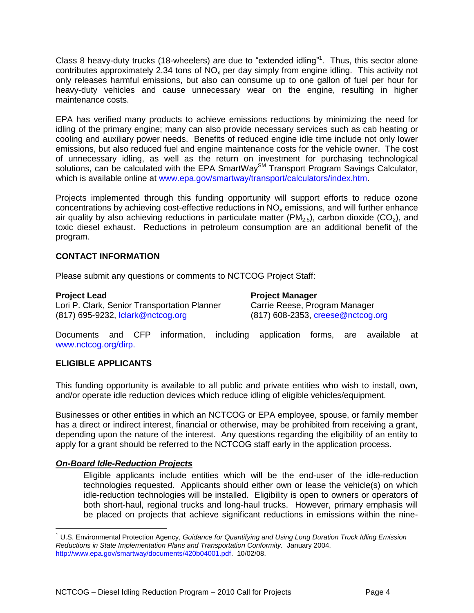Class 8 heavy-duty trucks (18-wheelers) are due to "extended idling"<sup>1</sup>. Thus, this sector alone contributes approximately 2.34 tons of  $NO<sub>x</sub>$  per day simply from engine idling. This activity not only releases harmful emissions, but also can consume up to one gallon of fuel per hour for heavy-duty vehicles and cause unnecessary wear on the engine, resulting in higher maintenance costs.

EPA has verified many products to achieve emissions reductions by minimizing the need for idling of the primary engine; many can also provide necessary services such as cab heating or cooling and auxiliary power needs. Benefits of reduced engine idle time include not only lower emissions, but also reduced fuel and engine maintenance costs for the vehicle owner. The cost of unnecessary idling, as well as the return on investment for purchasing technological solutions, can be calculated with the EPA SmartWay<sup>SM</sup> Transport Program Savings Calculator, which is available online at [www.epa.gov/smartway/transport/calculators/index.htm.](www.epa.gov/smartway/transport/calculators/index.htm)

Projects implemented through this funding opportunity will support efforts to reduce ozone concentrations by achieving cost-effective reductions in  $NO<sub>x</sub>$  emissions, and will further enhance air quality by also achieving reductions in particulate matter (PM<sub>2.5</sub>), carbon dioxide (CO<sub>2</sub>), and toxic diesel exhaust. Reductions in petroleum consumption are an additional benefit of the program.

# <span id="page-3-0"></span>**CONTACT INFORMATION**

Please submit any questions or comments to NCTCOG Project Staff:

 $\overline{a}$ 

Lori P. Clark, Senior Transportation Planner Carrie Reese, Program Manager (817) 695-9232, [lclark@nctcog.org](mailto:lclark@nctcog.org) (817) 608-2353, [creese@nctcog.org](mailto:creese@nctcog.org)

**Project Lead Project Manager**

Documents and CFP information, including application forms, are available at www.nctcog.org/dirp.

#### <span id="page-3-1"></span>**ELIGIBLE APPLICANTS**

This funding opportunity is available to all public and private entities who wish to install, own, and/or operate idle reduction devices which reduce idling of eligible vehicles/equipment.

Businesses or other entities in which an NCTCOG or EPA employee, spouse, or family member has a direct or indirect interest, financial or otherwise, may be prohibited from receiving a grant, depending upon the nature of the interest. Any questions regarding the eligibility of an entity to apply for a grant should be referred to the NCTCOG staff early in the application process.

#### <span id="page-3-2"></span>*On-Board Idle-Reduction Projects*

Eligible applicants include entities which will be the end-user of the idle-reduction technologies requested. Applicants should either own or lease the vehicle(s) on which idle-reduction technologies will be installed. Eligibility is open to owners or operators of both short-haul, regional trucks and long-haul trucks. However, primary emphasis will be placed on projects that achieve significant reductions in emissions within the nine-

<sup>1</sup> U.S. Environmental Protection Agency, *Guidance for Quantifying and Using Long Duration Truck Idling Emission Reductions in State Implementation Plans and Transportation Conformity.* January 2004. [http://www.epa.gov/smartway/documents/420b04001.pdf.](http://www.epa.gov/smartway/documents/420b04001.pdf) 10/02/08.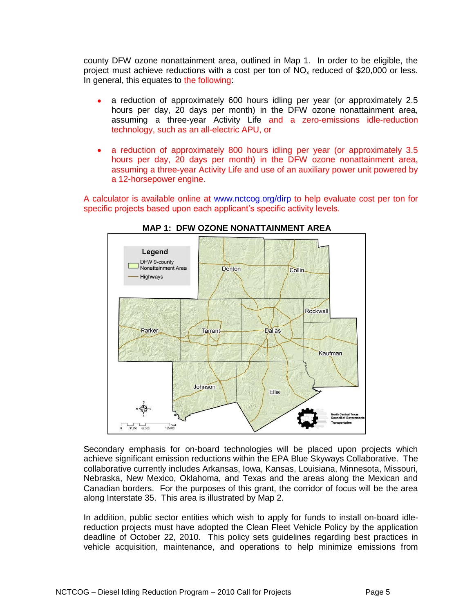county DFW ozone nonattainment area, outlined in Map 1. In order to be eligible, the project must achieve reductions with a cost per ton of  $NO<sub>x</sub>$  reduced of \$20,000 or less. In general, this equates to the following:

- a reduction of approximately 600 hours idling per year (or approximately 2.5 hours per day, 20 days per month) in the DFW ozone nonattainment area, assuming a three-year Activity Life and a zero-emissions idle-reduction technology, such as an all-electric APU, or
- a reduction of approximately 800 hours idling per year (or approximately 3.5  $\bullet$ hours per day, 20 days per month) in the DFW ozone nonattainment area, assuming a three-year Activity Life and use of an auxiliary power unit powered by a 12-horsepower engine.

A calculator is available online at [www.nctcog.org/dirp](http://www.nctcog.org/dirp) to help evaluate cost per ton for specific projects based upon each applicant's specific activity levels.



# **MAP 1: DFW OZONE NONATTAINMENT AREA**

Secondary emphasis for on-board technologies will be placed upon projects which achieve significant emission reductions within the EPA Blue Skyways Collaborative. The collaborative currently includes Arkansas, Iowa, Kansas, Louisiana, Minnesota, Missouri, Nebraska, New Mexico, Oklahoma, and Texas and the areas along the Mexican and Canadian borders. For the purposes of this grant, the corridor of focus will be the area along Interstate 35. This area is illustrated by Map 2.

In addition, public sector entities which wish to apply for funds to install on-board idlereduction projects must have adopted the Clean Fleet Vehicle Policy by the application deadline of October 22, 2010. This policy sets guidelines regarding best practices in vehicle acquisition, maintenance, and operations to help minimize emissions from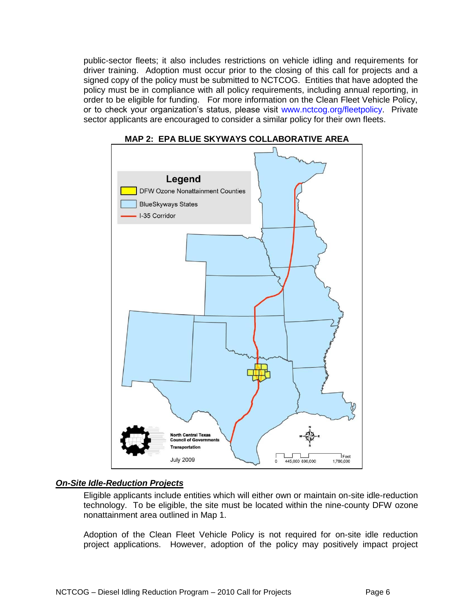public-sector fleets; it also includes restrictions on vehicle idling and requirements for driver training. Adoption must occur prior to the closing of this call for projects and a signed copy of the policy must be submitted to NCTCOG. Entities that have adopted the policy must be in compliance with all policy requirements, including annual reporting, in order to be eligible for funding. For more information on the Clean Fleet Vehicle Policy, or to check your organization's status, please visit [www.nctcog.org/fleetpolicy.](http://www.nctcog.org/fleetpolicy) Private sector applicants are encouraged to consider a similar policy for their own fleets.





# <span id="page-5-0"></span>*On-Site Idle-Reduction Projects*

Eligible applicants include entities which will either own or maintain on-site idle-reduction technology. To be eligible, the site must be located within the nine-county DFW ozone nonattainment area outlined in Map 1.

Adoption of the Clean Fleet Vehicle Policy is not required for on-site idle reduction project applications. However, adoption of the policy may positively impact project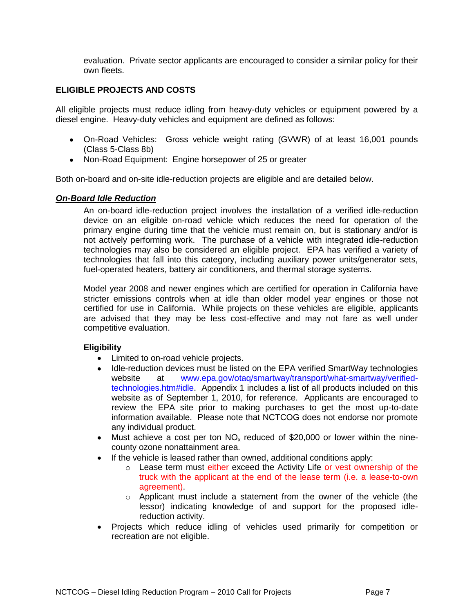evaluation. Private sector applicants are encouraged to consider a similar policy for their own fleets.

#### <span id="page-6-0"></span>**ELIGIBLE PROJECTS AND COSTS**

All eligible projects must reduce idling from heavy-duty vehicles or equipment powered by a diesel engine. Heavy-duty vehicles and equipment are defined as follows:

- On-Road Vehicles: Gross vehicle weight rating (GVWR) of at least 16,001 pounds (Class 5-Class 8b)
- Non-Road Equipment: Engine horsepower of 25 or greater

<span id="page-6-1"></span>Both on-board and on-site idle-reduction projects are eligible and are detailed below.

#### *On-Board Idle Reduction*

An on-board idle-reduction project involves the installation of a verified idle-reduction device on an eligible on-road vehicle which reduces the need for operation of the primary engine during time that the vehicle must remain on, but is stationary and/or is not actively performing work. The purchase of a vehicle with integrated idle-reduction technologies may also be considered an eligible project. EPA has verified a variety of technologies that fall into this category, including auxiliary power units/generator sets, fuel-operated heaters, battery air conditioners, and thermal storage systems.

Model year 2008 and newer engines which are certified for operation in California have stricter emissions controls when at idle than older model year engines or those not certified for use in California. While projects on these vehicles are eligible, applicants are advised that they may be less cost-effective and may not fare as well under competitive evaluation.

#### **Eligibility**

- Limited to on-road vehicle projects.
- Idle-reduction devices must be listed on the EPA verified SmartWay technologies  $\bullet$ website at [www.epa.gov/otaq/smartway/transport/what-smartway/verified](http://www.epa.gov/otaq/smartway/transport/what-smartway/verified-technologies.htm#idle)[technologies.htm#idle.](http://www.epa.gov/otaq/smartway/transport/what-smartway/verified-technologies.htm#idle) Appendix 1 includes a list of all products included on this website as of September 1, 2010, for reference. Applicants are encouraged to review the EPA site prior to making purchases to get the most up-to-date information available. Please note that NCTCOG does not endorse nor promote any individual product.
- Must achieve a cost per ton  $NO_x$  reduced of \$20,000 or lower within the nine- $\bullet$ county ozone nonattainment area.
- If the vehicle is leased rather than owned, additional conditions apply:
	- $\circ$  Lease term must either exceed the Activity Life or vest ownership of the truck with the applicant at the end of the lease term (i.e. a lease-to-own agreement).
	- $\circ$  Applicant must include a statement from the owner of the vehicle (the lessor) indicating knowledge of and support for the proposed idlereduction activity.
- Projects which reduce idling of vehicles used primarily for competition or recreation are not eligible.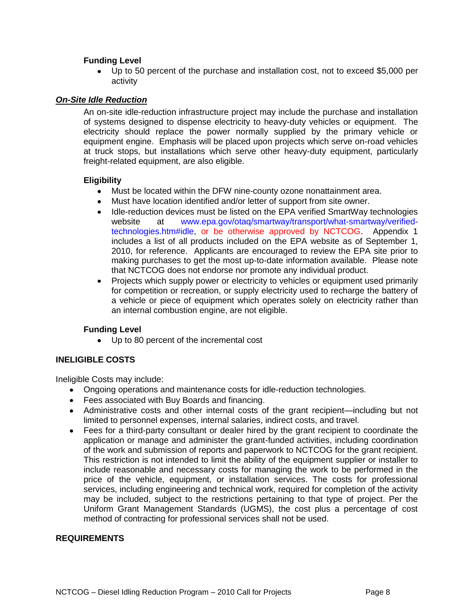# **Funding Level**

Up to 50 percent of the purchase and installation cost, not to exceed \$5,000 per  $\bullet$ activity

#### <span id="page-7-0"></span>*On-Site Idle Reduction*

An on-site idle-reduction infrastructure project may include the purchase and installation of systems designed to dispense electricity to heavy-duty vehicles or equipment. The electricity should replace the power normally supplied by the primary vehicle or equipment engine. Emphasis will be placed upon projects which serve on-road vehicles at truck stops, but installations which serve other heavy-duty equipment, particularly freight-related equipment, are also eligible.

#### **Eligibility**

- $\bullet$ Must be located within the DFW nine-county ozone nonattainment area.
- Must have location identified and/or letter of support from site owner.  $\bullet$
- Idle-reduction devices must be listed on the EPA verified SmartWay technologies website at [www.epa.gov/otaq/smartway/transport/what-smartway/verified](http://www.epa.gov/otaq/smartway/transport/what-smartway/verified-technologies.htm#idle)[technologies.htm#idle,](http://www.epa.gov/otaq/smartway/transport/what-smartway/verified-technologies.htm#idle) or be otherwise approved by NCTCOG. Appendix 1 includes a list of all products included on the EPA website as of September 1, 2010, for reference. Applicants are encouraged to review the EPA site prior to making purchases to get the most up-to-date information available. Please note that NCTCOG does not endorse nor promote any individual product.
- Projects which supply power or electricity to vehicles or equipment used primarily  $\bullet$ for competition or recreation, or supply electricity used to recharge the battery of a vehicle or piece of equipment which operates solely on electricity rather than an internal combustion engine, are not eligible.

# **Funding Level**

Up to 80 percent of the incremental cost

# <span id="page-7-1"></span>**INELIGIBLE COSTS**

Ineligible Costs may include:

- Ongoing operations and maintenance costs for idle-reduction technologies.
- Fees associated with Buy Boards and financing.
- Administrative costs and other internal costs of the grant recipient—including but not limited to personnel expenses, internal salaries, indirect costs, and travel.
- Fees for a third-party consultant or dealer hired by the grant recipient to coordinate the  $\bullet$ application or manage and administer the grant-funded activities, including coordination of the work and submission of reports and paperwork to NCTCOG for the grant recipient. This restriction is not intended to limit the ability of the equipment supplier or installer to include reasonable and necessary costs for managing the work to be performed in the price of the vehicle, equipment, or installation services. The costs for professional services, including engineering and technical work, required for completion of the activity may be included, subject to the restrictions pertaining to that type of project. Per the Uniform Grant Management Standards (UGMS), the cost plus a percentage of cost method of contracting for professional services shall not be used.

#### <span id="page-7-2"></span>**REQUIREMENTS**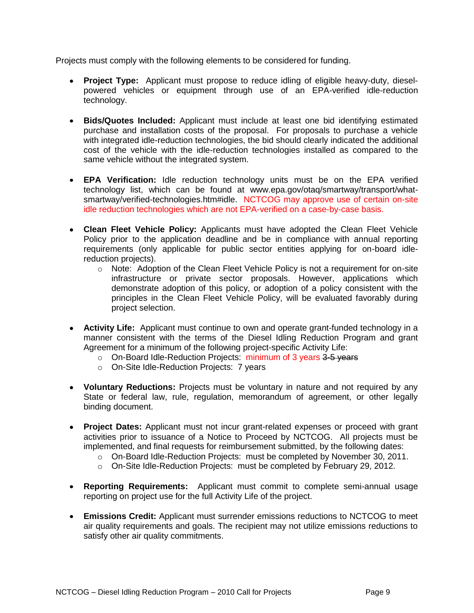Projects must comply with the following elements to be considered for funding.

- **Project Type:** Applicant must propose to reduce idling of eligible heavy-duty, dieselpowered vehicles or equipment through use of an EPA-verified idle-reduction technology.
- **Bids/Quotes Included:** Applicant must include at least one bid identifying estimated purchase and installation costs of the proposal. For proposals to purchase a vehicle with integrated idle-reduction technologies, the bid should clearly indicated the additional cost of the vehicle with the idle-reduction technologies installed as compared to the same vehicle without the integrated system.
- **EPA Verification:** Idle reduction technology units must be on the EPA verified technology list, which can be found at [www.epa.gov/otaq/smartway/transport/what](http://www.epa.gov/otaq/smartway/transport/what-smartway/verified-technologies.htm#idle)[smartway/verified-technologies.htm#idle.](http://www.epa.gov/otaq/smartway/transport/what-smartway/verified-technologies.htm#idle) NCTCOG may approve use of certain on-site idle reduction technologies which are not EPA-verified on a case-by-case basis.
- **Clean Fleet Vehicle Policy:** Applicants must have adopted the Clean Fleet Vehicle Policy prior to the application deadline and be in compliance with annual reporting requirements (only applicable for public sector entities applying for on-board idlereduction projects).
	- $\circ$  Note: Adoption of the Clean Fleet Vehicle Policy is not a requirement for on-site infrastructure or private sector proposals. However, applications which demonstrate adoption of this policy, or adoption of a policy consistent with the principles in the Clean Fleet Vehicle Policy, will be evaluated favorably during project selection.
- **Activity Life:** Applicant must continue to own and operate grant-funded technology in a manner consistent with the terms of the Diesel Idling Reduction Program and grant Agreement for a minimum of the following project-specific Activity Life:
	- o On-Board Idle-Reduction Projects: minimum of 3 years 3-5 years
	- o On-Site Idle-Reduction Projects: 7 years
- **Voluntary Reductions:** Projects must be voluntary in nature and not required by any State or federal law, rule, regulation, memorandum of agreement, or other legally binding document.
- **Project Dates:** Applicant must not incur grant-related expenses or proceed with grant activities prior to issuance of a Notice to Proceed by NCTCOG. All projects must be implemented, and final requests for reimbursement submitted, by the following dates:
	- o On-Board Idle-Reduction Projects: must be completed by November 30, 2011.
	- $\circ$  On-Site Idle-Reduction Projects: must be completed by February 29, 2012.
- **Reporting Requirements:** Applicant must commit to complete semi-annual usage reporting on project use for the full Activity Life of the project.
- **Emissions Credit:** Applicant must surrender emissions reductions to NCTCOG to meet air quality requirements and goals. The recipient may not utilize emissions reductions to satisfy other air quality commitments.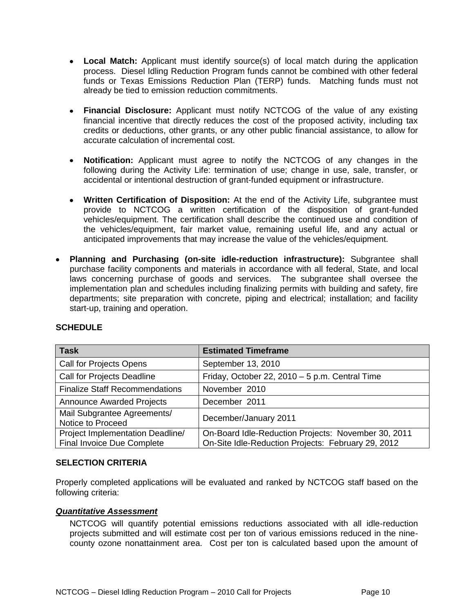- **Local Match:** Applicant must identify source(s) of local match during the application process. Diesel Idling Reduction Program funds cannot be combined with other federal funds or Texas Emissions Reduction Plan (TERP) funds. Matching funds must not already be tied to emission reduction commitments.
- **Financial Disclosure:** Applicant must notify NCTCOG of the value of any existing financial incentive that directly reduces the cost of the proposed activity, including tax credits or deductions, other grants, or any other public financial assistance, to allow for accurate calculation of incremental cost.
- **Notification:** Applicant must agree to notify the NCTCOG of any changes in the following during the Activity Life: termination of use; change in use, sale, transfer, or accidental or intentional destruction of grant-funded equipment or infrastructure.
- **Written Certification of Disposition:** At the end of the Activity Life, subgrantee must provide to NCTCOG a written certification of the disposition of grant-funded vehicles/equipment. The certification shall describe the continued use and condition of the vehicles/equipment, fair market value, remaining useful life, and any actual or anticipated improvements that may increase the value of the vehicles/equipment.
- **Planning and Purchasing (on-site idle-reduction infrastructure):** Subgrantee shall purchase facility components and materials in accordance with all federal, State, and local laws concerning purchase of goods and services. The subgrantee shall oversee the implementation plan and schedules including finalizing permits with building and safety, fire departments; site preparation with concrete, piping and electrical; installation; and facility start-up, training and operation.

| <b>Task</b>                                                           | <b>Estimated Timeframe</b>                                                                                |
|-----------------------------------------------------------------------|-----------------------------------------------------------------------------------------------------------|
| Call for Projects Opens                                               | September 13, 2010                                                                                        |
| <b>Call for Projects Deadline</b>                                     | Friday, October 22, 2010 - 5 p.m. Central Time                                                            |
| <b>Finalize Staff Recommendations</b>                                 | November 2010                                                                                             |
| <b>Announce Awarded Projects</b>                                      | December 2011                                                                                             |
| Mail Subgrantee Agreements/<br>Notice to Proceed                      | December/January 2011                                                                                     |
| Project Implementation Deadline/<br><b>Final Invoice Due Complete</b> | On-Board Idle-Reduction Projects: November 30, 2011<br>On-Site Idle-Reduction Projects: February 29, 2012 |

# <span id="page-9-0"></span>**SCHEDULE**

#### <span id="page-9-1"></span>**SELECTION CRITERIA**

Properly completed applications will be evaluated and ranked by NCTCOG staff based on the following criteria:

#### <span id="page-9-2"></span>*Quantitative Assessment*

NCTCOG will quantify potential emissions reductions associated with all idle-reduction projects submitted and will estimate cost per ton of various emissions reduced in the ninecounty ozone nonattainment area. Cost per ton is calculated based upon the amount of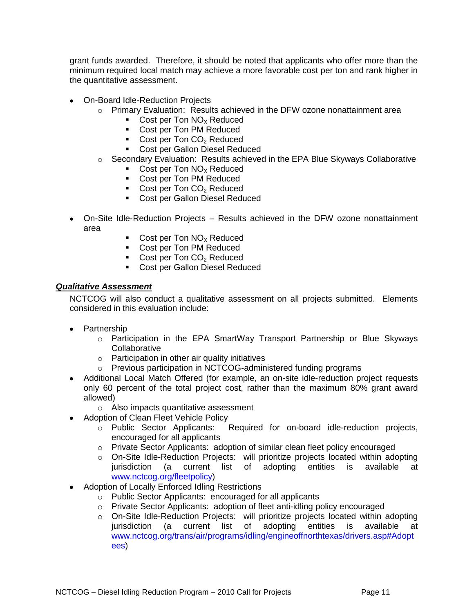grant funds awarded. Therefore, it should be noted that applicants who offer more than the minimum required local match may achieve a more favorable cost per ton and rank higher in the quantitative assessment.

- On-Board Idle-Reduction Projects
	- $\circ$  Primary Evaluation: Results achieved in the DFW ozone nonattainment area
		- Cost per Ton  $NO<sub>x</sub>$  Reduced
		- **Cost per Ton PM Reduced**
		- Cost per Ton  $CO<sub>2</sub>$  Reduced
		- **Cost per Gallon Diesel Reduced**
	- $\circ$  Secondary Evaluation: Results achieved in the EPA Blue Skyways Collaborative
		- Cost per Ton  $NO<sub>x</sub>$  Reduced
		- **Cost per Ton PM Reduced**
		- Cost per Ton  $CO<sub>2</sub>$  Reduced
		- **Cost per Gallon Diesel Reduced**
- On-Site Idle-Reduction Projects Results achieved in the DFW ozone nonattainment area
	- Cost per Ton  $NO<sub>x</sub>$  Reduced
	- Cost per Ton PM Reduced
	- Cost per Ton  $CO<sub>2</sub>$  Reduced
	- **Cost per Gallon Diesel Reduced**

### <span id="page-10-0"></span>*Qualitative Assessment*

NCTCOG will also conduct a qualitative assessment on all projects submitted. Elements considered in this evaluation include:

- Partnership
	- $\circ$  Participation in the EPA SmartWay Transport Partnership or Blue Skyways **Collaborative**
	- o Participation in other air quality initiatives
	- o Previous participation in NCTCOG-administered funding programs
- Additional Local Match Offered (for example, an on-site idle-reduction project requests only 60 percent of the total project cost, rather than the maximum 80% grant award allowed)
	- o Also impacts quantitative assessment
- Adoption of Clean Fleet Vehicle Policy
	- o Public Sector Applicants: Required for on-board idle-reduction projects, encouraged for all applicants
	- o Private Sector Applicants: adoption of similar clean fleet policy encouraged
	- o On-Site Idle-Reduction Projects: will prioritize projects located within adopting jurisdiction (a current list of adopting entities is available at [www.nctcog.org/fleetpolicy\)](http://www.nctcog.org/fleetpolicy)
- Adoption of Locally Enforced Idling Restrictions
	- o Public Sector Applicants: encouraged for all applicants
	- o Private Sector Applicants: adoption of fleet anti-idling policy encouraged
	- o On-Site Idle-Reduction Projects: will prioritize projects located within adopting jurisdiction (a current list of adopting entities is available at [www.nctcog.org/trans/air/programs/idling/engineoffnorthtexas/drivers.asp#Adopt](http://www.nctcog.org/trans/air/programs/idling/engineoffnorthtexas/drivers.asp#Adoptees) [ees\)](http://www.nctcog.org/trans/air/programs/idling/engineoffnorthtexas/drivers.asp#Adoptees)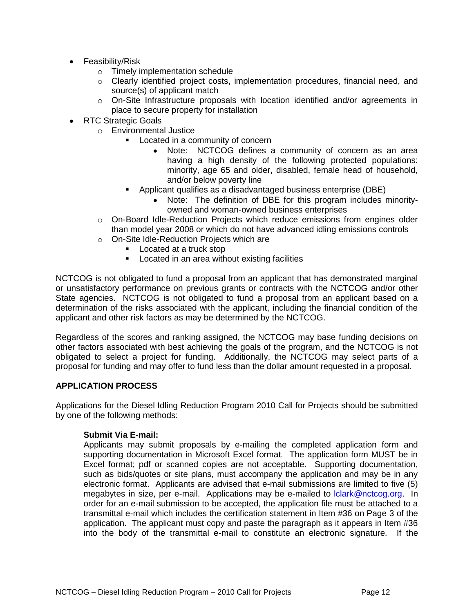- Feasibility/Risk
	- o Timely implementation schedule
	- o Clearly identified project costs, implementation procedures, financial need, and source(s) of applicant match
	- $\circ$  On-Site Infrastructure proposals with location identified and/or agreements in place to secure property for installation
- RTC Strategic Goals
	- o Environmental Justice
		- **EXEC** Located in a community of concern
			- Note: NCTCOG defines a community of concern as an area having a high density of the following protected populations: minority, age 65 and older, disabled, female head of household, and/or below poverty line
		- Applicant qualifies as a disadvantaged business enterprise (DBE)
			- Note: The definition of DBE for this program includes minorityowned and woman-owned business enterprises
	- o On-Board Idle-Reduction Projects which reduce emissions from engines older than model year 2008 or which do not have advanced idling emissions controls
	- o On-Site Idle-Reduction Projects which are
		- **Located at a truck stop**
		- **EXEC** Located in an area without existing facilities

NCTCOG is not obligated to fund a proposal from an applicant that has demonstrated marginal or unsatisfactory performance on previous grants or contracts with the NCTCOG and/or other State agencies. NCTCOG is not obligated to fund a proposal from an applicant based on a determination of the risks associated with the applicant, including the financial condition of the applicant and other risk factors as may be determined by the NCTCOG.

Regardless of the scores and ranking assigned, the NCTCOG may base funding decisions on other factors associated with best achieving the goals of the program, and the NCTCOG is not obligated to select a project for funding. Additionally, the NCTCOG may select parts of a proposal for funding and may offer to fund less than the dollar amount requested in a proposal.

#### <span id="page-11-0"></span>**APPLICATION PROCESS**

Applications for the Diesel Idling Reduction Program 2010 Call for Projects should be submitted by one of the following methods:

#### **Submit Via E-mail:**

Applicants may submit proposals by e-mailing the completed application form and supporting documentation in Microsoft Excel format. The application form MUST be in Excel format; pdf or scanned copies are not acceptable. Supporting documentation, such as bids/quotes or site plans, must accompany the application and may be in any electronic format. Applicants are advised that e-mail submissions are limited to five (5) megabytes in size, per e-mail. Applications may be e-mailed to *Iclark@nctcog.org.* In order for an e-mail submission to be accepted, the application file must be attached to a transmittal e-mail which includes the certification statement in Item #36 on Page 3 of the application. The applicant must copy and paste the paragraph as it appears in Item #36 into the body of the transmittal e-mail to constitute an electronic signature. If the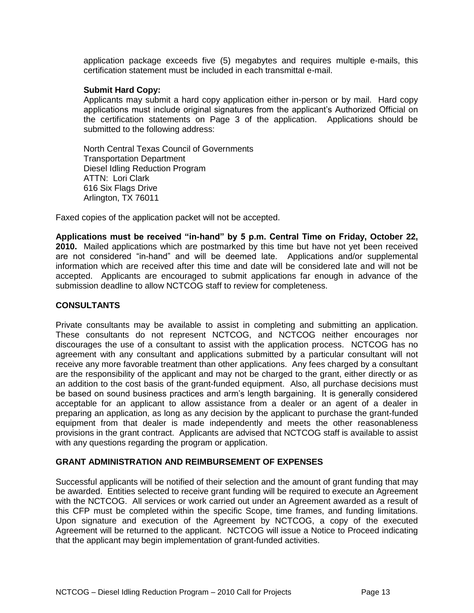application package exceeds five (5) megabytes and requires multiple e-mails, this certification statement must be included in each transmittal e-mail.

#### **Submit Hard Copy:**

Applicants may submit a hard copy application either in-person or by mail. Hard copy applications must include original signatures from the applicant's Authorized Official on the certification statements on Page 3 of the application. Applications should be submitted to the following address:

North Central Texas Council of Governments Transportation Department Diesel Idling Reduction Program ATTN: Lori Clark 616 Six Flags Drive Arlington, TX 76011

Faxed copies of the application packet will not be accepted.

**[Applications](http://www.nctcog.org/trans/clean/schoolbus/index.asp?) must be received "in-hand" by 5 p.m. Central Time on Friday, October 22, 2010.** Mailed applications which are postmarked by this time but have not yet been received are not considered "in-hand" and will be deemed late. Applications and/or supplemental information which are received after this time and date will be considered late and will not be accepted. Applicants are encouraged to submit applications far enough in advance of the submission deadline to allow NCTCOG staff to review for completeness.

#### <span id="page-12-0"></span>**CONSULTANTS**

Private consultants may be available to assist in completing and submitting an application. These consultants do not represent NCTCOG, and NCTCOG neither encourages nor discourages the use of a consultant to assist with the application process. NCTCOG has no agreement with any consultant and applications submitted by a particular consultant will not receive any more favorable treatment than other applications. Any fees charged by a consultant are the responsibility of the applicant and may not be charged to the grant, either directly or as an addition to the cost basis of the grant-funded equipment. Also, all purchase decisions must be based on sound business practices and arm's length bargaining. It is generally considered acceptable for an applicant to allow assistance from a dealer or an agent of a dealer in preparing an application, as long as any decision by the applicant to purchase the grant-funded equipment from that dealer is made independently and meets the other reasonableness provisions in the grant contract. Applicants are advised that NCTCOG staff is available to assist with any questions regarding the program or application.

#### <span id="page-12-1"></span>**GRANT ADMINISTRATION AND REIMBURSEMENT OF EXPENSES**

Successful applicants will be notified of their selection and the amount of grant funding that may be awarded. Entities selected to receive grant funding will be required to execute an Agreement with the NCTCOG. All services or work carried out under an Agreement awarded as a result of this CFP must be completed within the specific Scope, time frames, and funding limitations. Upon signature and execution of the Agreement by NCTCOG, a copy of the executed Agreement will be returned to the applicant. NCTCOG will issue a Notice to Proceed indicating that the applicant may begin implementation of grant-funded activities.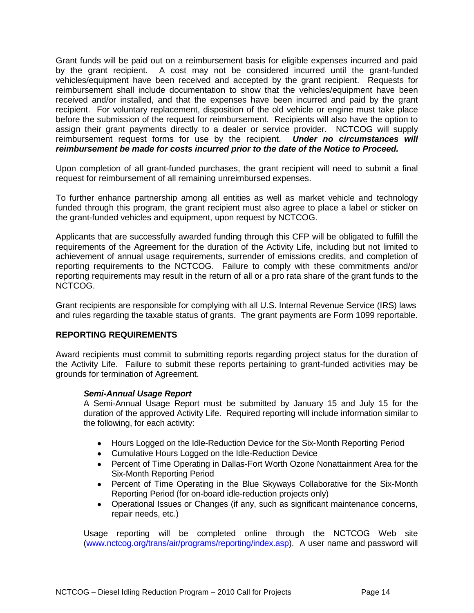Grant funds will be paid out on a reimbursement basis for eligible expenses incurred and paid by the grant recipient. A cost may not be considered incurred until the grant-funded vehicles/equipment have been received and accepted by the grant recipient. Requests for reimbursement shall include documentation to show that the vehicles/equipment have been received and/or installed, and that the expenses have been incurred and paid by the grant recipient. For voluntary replacement, disposition of the old vehicle or engine must take place before the submission of the request for reimbursement. Recipients will also have the option to assign their grant payments directly to a dealer or service provider. NCTCOG will supply reimbursement request forms for use by the recipient. *Under no circumstances will reimbursement be made for costs incurred prior to the date of the Notice to Proceed.*

Upon completion of all grant-funded purchases, the grant recipient will need to submit a final request for reimbursement of all remaining unreimbursed expenses.

To further enhance partnership among all entities as well as market vehicle and technology funded through this program, the grant recipient must also agree to place a label or sticker on the grant-funded vehicles and equipment, upon request by NCTCOG.

Applicants that are successfully awarded funding through this CFP will be obligated to fulfill the requirements of the Agreement for the duration of the Activity Life, including but not limited to achievement of annual usage requirements, surrender of emissions credits, and completion of reporting requirements to the NCTCOG. Failure to comply with these commitments and/or reporting requirements may result in the return of all or a pro rata share of the grant funds to the NCTCOG.

Grant recipients are responsible for complying with all U.S. Internal Revenue Service (IRS) laws and rules regarding the taxable status of grants. The grant payments are Form 1099 reportable.

#### <span id="page-13-0"></span>**REPORTING REQUIREMENTS**

Award recipients must commit to submitting reports regarding project status for the duration of the Activity Life. Failure to submit these reports pertaining to grant-funded activities may be grounds for termination of Agreement.

#### *Semi-Annual Usage Report*

A Semi-Annual Usage Report must be submitted by January 15 and July 15 for the duration of the approved Activity Life. Required reporting will include information similar to the following, for each activity:

- Hours Logged on the Idle-Reduction Device for the Six-Month Reporting Period  $\bullet$
- Cumulative Hours Logged on the Idle-Reduction Device
- Percent of Time Operating in Dallas-Fort Worth Ozone Nonattainment Area for the Six-Month Reporting Period
- $\bullet$ Percent of Time Operating in the Blue Skyways Collaborative for the Six-Month Reporting Period (for on-board idle-reduction projects only)
- Operational Issues or Changes (if any, such as significant maintenance concerns,  $\bullet$ repair needs, etc.)

Usage reporting will be completed online through the NCTCOG Web site [\(www.nctcog.org/trans/air/programs/reporting/index.asp\)](http://www.nctcog.org/trans/air/programs/reporting/index.asp). A user name and password will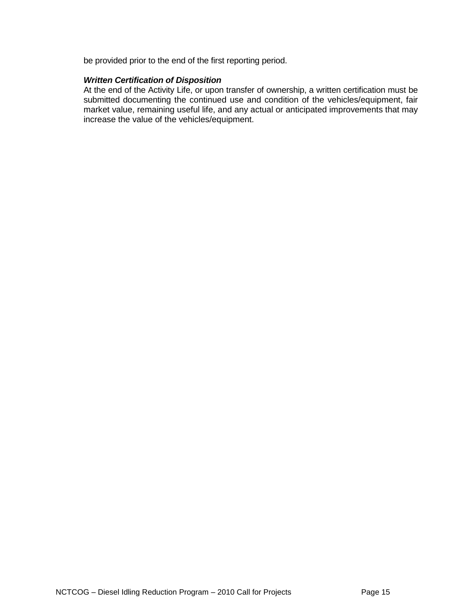be provided prior to the end of the first reporting period.

#### *Written Certification of Disposition*

At the end of the Activity Life, or upon transfer of ownership, a written certification must be submitted documenting the continued use and condition of the vehicles/equipment, fair market value, remaining useful life, and any actual or anticipated improvements that may increase the value of the vehicles/equipment.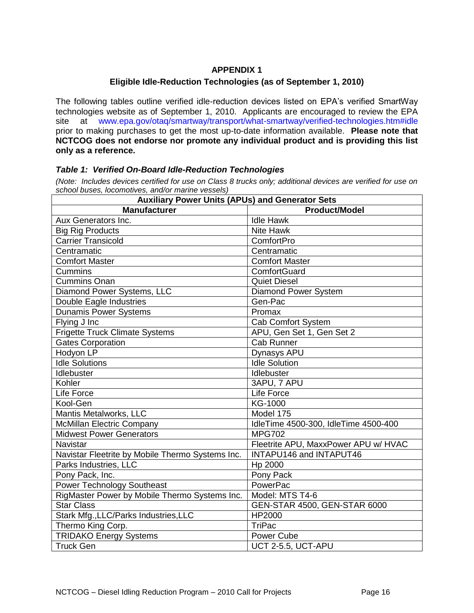# **APPENDIX 1**

#### **Eligible Idle-Reduction Technologies (as of September 1, 2010)**

<span id="page-15-0"></span>The following tables outline verified idle-reduction devices listed on EPA's verified SmartWay technologies website as of September 1, 2010. Applicants are encouraged to review the EPA site at [www.epa.gov/otaq/smartway/transport/what-smartway/verified-technologies.htm#idle](http://www.epa.gov/otaq/smartway/transport/what-smartway/verified-technologies.htm#idle) prior to making purchases to get the most up-to-date information available. **Please note that NCTCOG does not endorse nor promote any individual product and is providing this list only as a reference.**

#### <span id="page-15-1"></span>*Table 1: Verified On-Board Idle-Reduction Technologies*

*(Note: Includes devices certified for use on Class 8 trucks only; additional devices are verified for use on school buses, locomotives, and/or marine vessels)*

| <b>Auxiliary Power Units (APUs) and Generator Sets</b> |                                      |  |
|--------------------------------------------------------|--------------------------------------|--|
| <b>Manufacturer</b>                                    | <b>Product/Model</b>                 |  |
| Aux Generators Inc.                                    | <b>Idle Hawk</b>                     |  |
| <b>Big Rig Products</b>                                | Nite Hawk                            |  |
| <b>Carrier Transicold</b>                              | ComfortPro                           |  |
| Centramatic                                            | Centramatic                          |  |
| <b>Comfort Master</b>                                  | <b>Comfort Master</b>                |  |
| Cummins                                                | ComfortGuard                         |  |
| <b>Cummins Onan</b>                                    | <b>Quiet Diesel</b>                  |  |
| Diamond Power Systems, LLC                             | Diamond Power System                 |  |
| Double Eagle Industries                                | Gen-Pac                              |  |
| <b>Dunamis Power Systems</b>                           | Promax                               |  |
| Flying J Inc                                           | <b>Cab Comfort System</b>            |  |
| <b>Frigette Truck Climate Systems</b>                  | APU, Gen Set 1, Gen Set 2            |  |
| Gates Corporation                                      | <b>Cab Runner</b>                    |  |
| Hodyon LP                                              | Dynasys APU                          |  |
| <b>Idle Solutions</b>                                  | <b>Idle Solution</b>                 |  |
| Idlebuster                                             | Idlebuster                           |  |
| Kohler                                                 | 3APU, 7 APU                          |  |
| Life Force                                             | Life Force                           |  |
| Kool-Gen                                               | KG-1000                              |  |
| Mantis Metalworks, LLC                                 | Model 175                            |  |
| <b>McMillan Electric Company</b>                       | IdleTime 4500-300, IdleTime 4500-400 |  |
| <b>Midwest Power Generators</b>                        | <b>MPG702</b>                        |  |
| <b>Navistar</b>                                        | Fleetrite APU, MaxxPower APU w/ HVAC |  |
| Navistar Fleetrite by Mobile Thermo Systems Inc.       | INTAPU146 and INTAPUT46              |  |
| Parks Industries, LLC                                  | Hp 2000                              |  |
| Pony Pack, Inc.                                        | Pony Pack                            |  |
| <b>Power Technology Southeast</b>                      | PowerPac                             |  |
| RigMaster Power by Mobile Thermo Systems Inc.          | Model: MTS T4-6                      |  |
| Star Class                                             | GEN-STAR 4500, GEN-STAR 6000         |  |
| Stark Mfg., LLC/Parks Industries, LLC                  | HP2000                               |  |
| Thermo King Corp.                                      | <b>TriPac</b>                        |  |
| <b>TRIDAKO Energy Systems</b>                          | Power Cube                           |  |
| Truck Gen                                              | UCT 2-5.5, UCT-APU                   |  |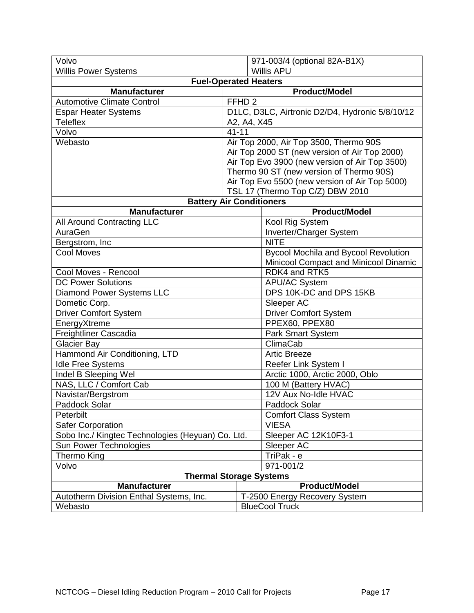| Volvo                                             |                                               | 971-003/4 (optional 82A-B1X)                    |  |  |
|---------------------------------------------------|-----------------------------------------------|-------------------------------------------------|--|--|
| <b>Willis Power Systems</b>                       |                                               | <b>Willis APU</b>                               |  |  |
| <b>Fuel-Operated Heaters</b>                      |                                               |                                                 |  |  |
| <b>Manufacturer</b>                               |                                               | <b>Product/Model</b>                            |  |  |
| <b>Automotive Climate Control</b>                 | FFHD <sub>2</sub>                             |                                                 |  |  |
| <b>Espar Heater Systems</b>                       |                                               | D1LC, D3LC, Airtronic D2/D4, Hydronic 5/8/10/12 |  |  |
| <b>Teleflex</b>                                   |                                               | A2, A4, X45                                     |  |  |
| Volvo                                             | $41 - 11$                                     |                                                 |  |  |
| Webasto                                           | Air Top 2000, Air Top 3500, Thermo 90S        |                                                 |  |  |
|                                                   | Air Top 2000 ST (new version of Air Top 2000) |                                                 |  |  |
|                                                   |                                               | Air Top Evo 3900 (new version of Air Top 3500)  |  |  |
|                                                   |                                               | Thermo 90 ST (new version of Thermo 90S)        |  |  |
|                                                   |                                               | Air Top Evo 5500 (new version of Air Top 5000)  |  |  |
|                                                   |                                               | TSL 17 (Thermo Top C/Z) DBW 2010                |  |  |
|                                                   |                                               | <b>Battery Air Conditioners</b>                 |  |  |
| <b>Manufacturer</b>                               |                                               | <b>Product/Model</b>                            |  |  |
| All Around Contracting LLC                        |                                               | Kool Rig System                                 |  |  |
| AuraGen                                           |                                               | Inverter/Charger System                         |  |  |
| Bergstrom, Inc                                    |                                               | <b>NITE</b>                                     |  |  |
| <b>Cool Moves</b>                                 |                                               | <b>Bycool Mochila and Bycool Revolution</b>     |  |  |
|                                                   |                                               | Minicool Compact and Minicool Dinamic           |  |  |
| Cool Moves - Rencool                              |                                               | RDK4 and RTK5                                   |  |  |
| <b>DC Power Solutions</b>                         |                                               |                                                 |  |  |
| Diamond Power Systems LLC                         |                                               | DPS 10K-DC and DPS 15KB                         |  |  |
| Dometic Corp.                                     |                                               | Sleeper AC                                      |  |  |
| <b>Driver Comfort System</b>                      |                                               | <b>Driver Comfort System</b><br>PPEX60, PPEX80  |  |  |
|                                                   | EnergyXtreme                                  |                                                 |  |  |
| <b>Freightliner Cascadia</b>                      |                                               | <b>Park Smart System</b>                        |  |  |
| <b>Glacier Bay</b>                                |                                               | ClimaCab                                        |  |  |
| Hammond Air Conditioning, LTD                     |                                               | <b>Artic Breeze</b>                             |  |  |
| <b>Idle Free Systems</b>                          |                                               | Reefer Link System I                            |  |  |
| Indel B Sleeping Wel                              |                                               | Arctic 1000, Arctic 2000, Oblo                  |  |  |
| NAS, LLC / Comfort Cab                            |                                               | 100 M (Battery HVAC)                            |  |  |
| Navistar/Bergstrom                                |                                               | 12V Aux No-Idle HVAC                            |  |  |
| Paddock Solar                                     |                                               | Paddock Solar                                   |  |  |
| Peterbilt                                         |                                               | <b>Comfort Class System</b>                     |  |  |
| <b>Safer Corporation</b>                          |                                               | <b>VIESA</b>                                    |  |  |
| Sobo Inc./ Kingtec Technologies (Heyuan) Co. Ltd. |                                               | Sleeper AC 12K10F3-1                            |  |  |
| Sun Power Technologies                            |                                               | Sleeper AC                                      |  |  |
| Thermo King                                       |                                               | TriPak - $\overline{e}$                         |  |  |
| Volvo                                             |                                               | 971-001/2                                       |  |  |
| <b>Thermal Storage Systems</b>                    |                                               |                                                 |  |  |
| <b>Manufacturer</b>                               |                                               | <b>Product/Model</b>                            |  |  |
| Autotherm Division Enthal Systems, Inc.           | T-2500 Energy Recovery System                 |                                                 |  |  |
| Webasto                                           | <b>BlueCool Truck</b>                         |                                                 |  |  |